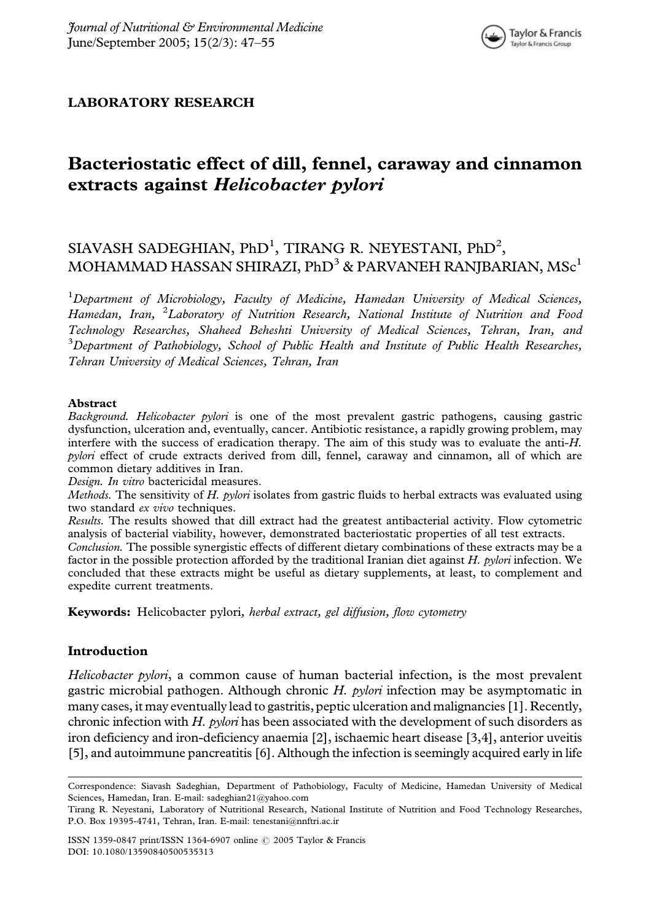## LABORATORY RESEARCH

# Bacteriostatic effect of dill, fennel, caraway and cinnamon extracts against Helicobacter pylori

## SIAVASH SADEGHIAN, PhD<sup>1</sup>, TIRANG R. NEYESTANI, PhD<sup>2</sup>, MOHAMMAD HASSAN SHIRAZI, PhD<sup>3</sup> & PARVANEH RANIBARIAN, MSc<sup>1</sup>

<sup>1</sup>Department of Microbiology, Faculty of Medicine, Hamedan University of Medical Sciences, Hamedan, Iran, <sup>2</sup>Laboratory of Nutrition Research, National Institute of Nutrition and Food Technology Researches, Shaheed Beheshti University of Medical Sciences, Tehran, Iran, and  $^3$ Department of Pathobiology, School of Public Health and Institute of Public Health Researches, Tehran University of Medical Sciences, Tehran, Iran

#### Abstract

Background. Helicobacter pylori is one of the most prevalent gastric pathogens, causing gastric dysfunction, ulceration and, eventually, cancer. Antibiotic resistance, a rapidly growing problem, may interfere with the success of eradication therapy. The aim of this study was to evaluate the anti-H. pylori effect of crude extracts derived from dill, fennel, caraway and cinnamon, all of which are common dietary additives in Iran.

Design. In vitro bactericidal measures.

Methods. The sensitivity of H. pylori isolates from gastric fluids to herbal extracts was evaluated using two standard ex vivo techniques.

Results. The results showed that dill extract had the greatest antibacterial activity. Flow cytometric analysis of bacterial viability, however, demonstrated bacteriostatic properties of all test extracts.

Conclusion. The possible synergistic effects of different dietary combinations of these extracts may be a factor in the possible protection afforded by the traditional Iranian diet against H. pylori infection. We concluded that these extracts might be useful as dietary supplements, at least, to complement and expedite current treatments.

Keywords: Helicobacter pylori, herbal extract, gel diffusion, flow cytometry

#### Introduction

Helicobacter pylori, a common cause of human bacterial infection, is the most prevalent gastric microbial pathogen. Although chronic H. pylori infection may be asymptomatic in many cases, it may eventually lead to gastritis, peptic ulceration and malignancies [1]. Recently, chronic infection with H. pylori has been associated with the development of such disorders as iron deficiency and iron-deficiency anaemia [2], ischaemic heart disease [3,4], anterior uveitis [5], and autoimmune pancreatitis [6]. Although the infection is seemingly acquired early in life

ISSN 1359-0847 print/ISSN 1364-6907 online  $\odot$  2005 Taylor & Francis DOI: 10.1080/13590840500535313

Correspondence: Siavash Sadeghian, Department of Pathobiology, Faculty of Medicine, Hamedan University of Medical Sciences, Hamedan, Iran. E-mail: sadeghian21@yahoo.com

Tirang R. Neyestani, Laboratory of Nutritional Research, National Institute of Nutrition and Food Technology Researches, P.O. Box 19395-4741, Tehran, Iran. E-mail: tenestani@nnftri.ac.ir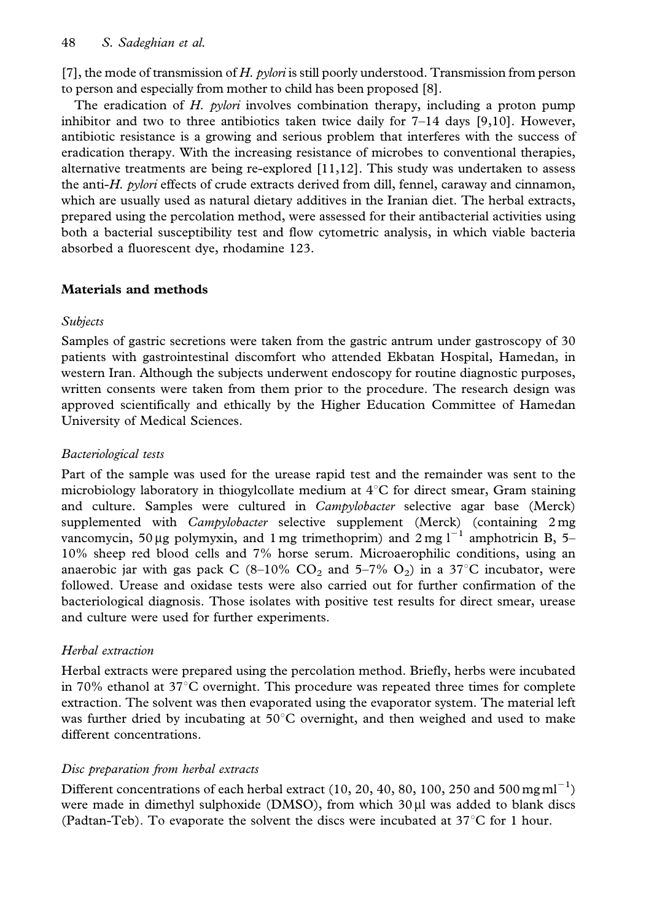[7], the mode of transmission of  $H$ . pylori is still poorly understood. Transmission from person to person and especially from mother to child has been proposed [8].

The eradication of H. *pylori* involves combination therapy, including a proton pump inhibitor and two to three antibiotics taken twice daily for  $7-14$  days [9,10]. However, antibiotic resistance is a growing and serious problem that interferes with the success of eradication therapy. With the increasing resistance of microbes to conventional therapies, alternative treatments are being re-explored [11,12]. This study was undertaken to assess the anti-H. pylori effects of crude extracts derived from dill, fennel, caraway and cinnamon, which are usually used as natural dietary additives in the Iranian diet. The herbal extracts, prepared using the percolation method, were assessed for their antibacterial activities using both a bacterial susceptibility test and flow cytometric analysis, in which viable bacteria absorbed a fluorescent dye, rhodamine 123.

## Materials and methods

## Subjects

Samples of gastric secretions were taken from the gastric antrum under gastroscopy of 30 patients with gastrointestinal discomfort who attended Ekbatan Hospital, Hamedan, in western Iran. Although the subjects underwent endoscopy for routine diagnostic purposes, written consents were taken from them prior to the procedure. The research design was approved scientifically and ethically by the Higher Education Committee of Hamedan University of Medical Sciences.

## Bacteriological tests

Part of the sample was used for the urease rapid test and the remainder was sent to the microbiology laboratory in thiogylcollate medium at  $4^{\circ}$ C for direct smear, Gram staining and culture. Samples were cultured in *Campylobacter* selective agar base (Merck) supplemented with *Campylobacter* selective supplement (Merck) (containing 2 mg vancomycin, 50 µg polymyxin, and 1 mg trimethoprim) and  $2 \text{ mg } l^{-1}$  amphotricin B, 5– 10% sheep red blood cells and 7% horse serum. Microaerophilic conditions, using an anaerobic jar with gas pack C (8–10% CO<sub>2</sub> and 5–7% O<sub>2</sub>) in a 37°C incubator, were followed. Urease and oxidase tests were also carried out for further confirmation of the bacteriological diagnosis. Those isolates with positive test results for direct smear, urease and culture were used for further experiments.

## Herbal extraction

Herbal extracts were prepared using the percolation method. Briefly, herbs were incubated in 70% ethanol at 37 $^{\circ}$ C overnight. This procedure was repeated three times for complete extraction. The solvent was then evaporated using the evaporator system. The material left was further dried by incubating at  $50^{\circ}$ C overnight, and then weighed and used to make different concentrations.

### Disc preparation from herbal extracts

Different concentrations of each herbal extract (10, 20, 40, 80, 100, 250 and 500 mg ml<sup>-1</sup>) were made in dimethyl sulphoxide (DMSO), from which  $30 \mu$ l was added to blank discs (Padtan-Teb). To evaporate the solvent the discs were incubated at  $37^{\circ}$ C for 1 hour.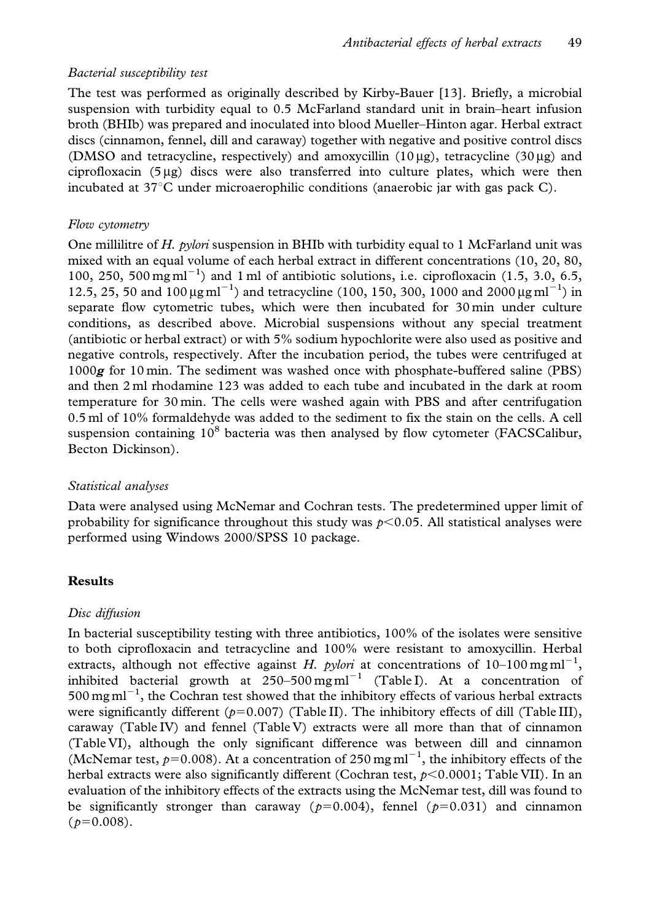#### Bacterial susceptibility test

The test was performed as originally described by Kirby-Bauer [13]. Briefly, a microbial suspension with turbidity equal to 0.5 McFarland standard unit in brain–heart infusion broth (BHIb) was prepared and inoculated into blood Mueller–Hinton agar. Herbal extract discs (cinnamon, fennel, dill and caraway) together with negative and positive control discs (DMSO and tetracycline, respectively) and amoxycillin  $(10 \mu g)$ , tetracycline  $(30 \mu g)$  and ciprofloxacin  $(5 \mu g)$  discs were also transferred into culture plates, which were then incubated at  $37^{\circ}$ C under microaerophilic conditions (anaerobic jar with gas pack C).

#### Flow cytometry

One millilitre of  $H$ . *pylori* suspension in BHIb with turbidity equal to 1 McFarland unit was mixed with an equal volume of each herbal extract in different concentrations (10, 20, 80, 100, 250, 500 mg ml<sup>-1</sup>) and 1 ml of antibiotic solutions, i.e. ciprofloxacin (1.5, 3.0, 6.5, 12.5, 25, 50 and 100  $\mu$ g ml<sup>-1</sup>) and tetracycline (100, 150, 300, 1000 and 2000  $\mu$ g ml<sup>-1</sup>) in separate flow cytometric tubes, which were then incubated for 30 min under culture conditions, as described above. Microbial suspensions without any special treatment (antibiotic or herbal extract) or with 5% sodium hypochlorite were also used as positive and negative controls, respectively. After the incubation period, the tubes were centrifuged at  $1000g$  for 10 min. The sediment was washed once with phosphate-buffered saline (PBS) and then 2 ml rhodamine 123 was added to each tube and incubated in the dark at room temperature for 30 min. The cells were washed again with PBS and after centrifugation 0.5 ml of 10% formaldehyde was added to the sediment to fix the stain on the cells. A cell suspension containing  $10^8$  bacteria was then analysed by flow cytometer (FACSCalibur, Becton Dickinson).

#### Statistical analyses

Data were analysed using McNemar and Cochran tests. The predetermined upper limit of probability for significance throughout this study was  $p<0.05$ . All statistical analyses were performed using Windows 2000/SPSS 10 package.

#### Results

#### Disc diffusion

In bacterial susceptibility testing with three antibiotics, 100% of the isolates were sensitive to both ciprofloxacin and tetracycline and 100% were resistant to amoxycillin. Herbal extracts, although not effective against H. pylori at concentrations of  $10-100 \text{ mg} \text{ml}^{-1}$ , inhibited bacterial growth at  $250-500$  mg m $^{-1}$  (Table I). At a concentration of  $500 \,\mathrm{mg\,ml}^{-1}$ , the Cochran test showed that the inhibitory effects of various herbal extracts were significantly different ( $p=0.007$ ) (Table II). The inhibitory effects of dill (Table III), caraway (Table IV) and fennel (Table V) extracts were all more than that of cinnamon (Table VI), although the only significant difference was between dill and cinnamon (McNemar test,  $p=0.008$ ). At a concentration of 250 mg ml<sup>-1</sup>, the inhibitory effects of the herbal extracts were also significantly different (Cochran test,  $p<0.0001$ ; Table VII). In an evaluation of the inhibitory effects of the extracts using the McNemar test, dill was found to be significantly stronger than caraway ( $p=0.004$ ), fennel ( $p=0.031$ ) and cinnamon  $(p=0.008)$ .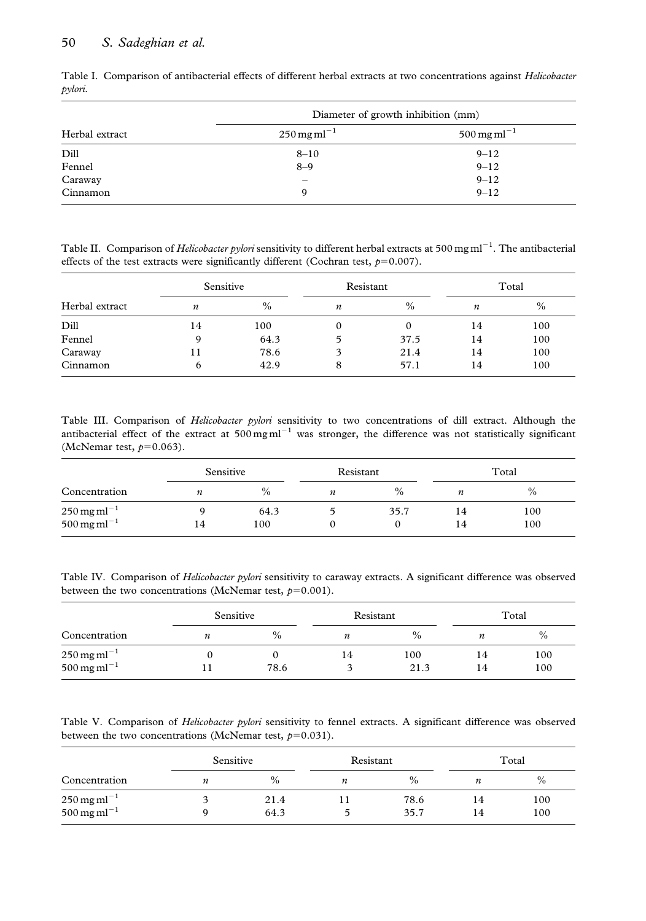#### 50 S. Sadeghian et al.

|                | Diameter of growth inhibition (mm)    |                                       |
|----------------|---------------------------------------|---------------------------------------|
| Herbal extract | $250 \,\mathrm{mg}\,\mathrm{ml}^{-1}$ | $500 \,\mathrm{mg}\,\mathrm{ml}^{-1}$ |
| Dill           | $8 - 10$                              | $9 - 12$                              |
| Fennel         | $8 - 9$                               | $9 - 12$                              |
| Caraway        |                                       | $9 - 12$                              |
| Cinnamon       | a                                     | $9 - 12$                              |

Table I. Comparison of antibacterial effects of different herbal extracts at two concentrations against Helicobacter pylori.

Table II. Comparison of Helicobacter pylori sensitivity to different herbal extracts at 500 mg ml<sup>-1</sup>. The antibacterial effects of the test extracts were significantly different (Cochran test,  $p=0.007$ ).

| Herbal extract | Sensitive |      | Resistant        |          | Total |      |
|----------------|-----------|------|------------------|----------|-------|------|
|                | n         | $\%$ | $\boldsymbol{n}$ | $\%$     | n     | $\%$ |
| Dill           | 14        | 100  | 0                | $\Omega$ | 14    | 100  |
| Fennel         | Q         | 64.3 | 5                | 37.5     | 14    | 100  |
| Caraway        |           | 78.6 | 3                | 21.4     | 14    | 100  |
| Cinnamon       | 6         | 42.9 | 8                | 57.1     | 14    | 100  |

Table III. Comparison of Helicobacter pylori sensitivity to two concentrations of dill extract. Although the antibacterial effect of the extract at  $500 \text{ mg m}$ <sup>11</sup> was stronger, the difference was not statistically significant (McNemar test,  $p=0.063$ ).

|                                                                  | Sensitive |             | Resistant |      | Total    |            |
|------------------------------------------------------------------|-----------|-------------|-----------|------|----------|------------|
| Concentration                                                    | n         | $\%$        | n         | $\%$ | n        | $\%$       |
| $250 \,\mathrm{mg}\,\mathrm{ml}^{-1}$<br>500 mg ml <sup>-1</sup> | 14        | 64.3<br>100 |           | 35.7 | 14<br>14 | 100<br>100 |

Table IV. Comparison of Helicobacter pylori sensitivity to caraway extracts. A significant difference was observed between the two concentrations (McNemar test,  $p=0.001$ ).

|                                                                  | Sensitive |      | Resistant        |             | Total    |            |  |
|------------------------------------------------------------------|-----------|------|------------------|-------------|----------|------------|--|
| Concentration                                                    | n         | $\%$ | $\boldsymbol{n}$ | $\%$        | n        | $\%$       |  |
| $250 \,\mathrm{mg}\,\mathrm{ml}^{-1}$<br>500 mg ml <sup>-1</sup> |           | 78.6 | 14               | 100<br>21.3 | 14<br>14 | 100<br>100 |  |

Table V. Comparison of Helicobacter pylori sensitivity to fennel extracts. A significant difference was observed between the two concentrations (McNemar test,  $p=0.031$ ).

|                                                              | Sensitive |               | Resistant |              |                  | Total      |
|--------------------------------------------------------------|-----------|---------------|-----------|--------------|------------------|------------|
| Concentration                                                | n         | $\frac{0}{0}$ | n         | $\%$         | $\boldsymbol{n}$ | $\%$       |
| $250 \,\mathrm{mg}\,\mathrm{ml}^{-1}$<br>$500$ mg m $l^{-1}$ |           | 21.4<br>64.3  |           | 78.6<br>35.7 | 14<br>14         | 100<br>100 |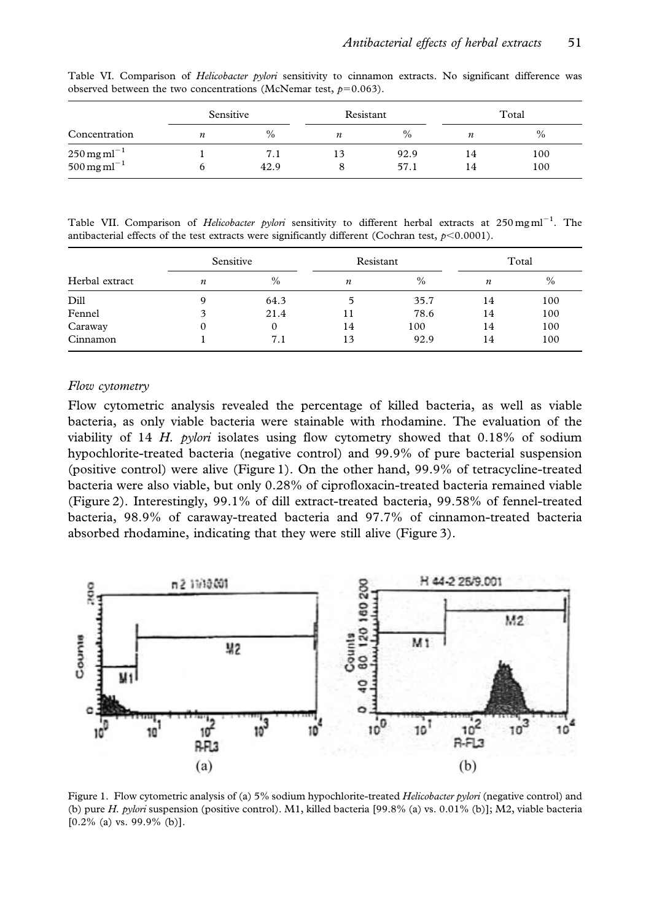|                                                         | Sensitive |             | Resistant |              |                  | Total      |
|---------------------------------------------------------|-----------|-------------|-----------|--------------|------------------|------------|
| Concentration                                           |           | $\%$        | n         | $\%$         | $\boldsymbol{n}$ | $\%$       |
| $250 \,\mathrm{mg\,ml}^{-1}$<br>500 mg ml <sup>-1</sup> |           | 7.1<br>42.9 |           | 92.9<br>57.1 | 14<br>14         | 100<br>100 |

Table VI. Comparison of *Helicobacter pylori* sensitivity to cinnamon extracts. No significant difference was observed between the two concentrations (McNemar test,  $p=0.063$ ).

Table VII. Comparison of *Helicobacter pylori* sensitivity to different herbal extracts at 250 mg ml<sup>-1</sup>. The antibacterial effects of the test extracts were significantly different (Cochran test,  $p<0.0001$ ).

| Herbal extract | Sensitive |          | Resistant |      | Total |      |
|----------------|-----------|----------|-----------|------|-------|------|
|                | n         | $\%$     | n         | $\%$ | n     | $\%$ |
| Dill           |           | 64.3     |           | 35.7 | 14    | 100  |
| Fennel         |           | 21.4     | 11        | 78.6 | 14    | 100  |
| Caraway        |           | $\Omega$ | 14        | 100  | 14    | 100  |
| Cinnamon       |           | 7.1      | 13        | 92.9 | 14    | 100  |

#### Flow cytometry

Flow cytometric analysis revealed the percentage of killed bacteria, as well as viable bacteria, as only viable bacteria were stainable with rhodamine. The evaluation of the viability of 14 H. *pylori* isolates using flow cytometry showed that  $0.18\%$  of sodium hypochlorite-treated bacteria (negative control) and 99.9% of pure bacterial suspension (positive control) were alive (Figure 1). On the other hand, 99.9% of tetracycline-treated bacteria were also viable, but only 0.28% of ciprofloxacin-treated bacteria remained viable (Figure 2). Interestingly, 99.1% of dill extract-treated bacteria, 99.58% of fennel-treated bacteria, 98.9% of caraway-treated bacteria and 97.7% of cinnamon-treated bacteria absorbed rhodamine, indicating that they were still alive (Figure 3).



Figure 1. Flow cytometric analysis of (a) 5% sodium hypochlorite-treated Helicobacter pylori (negative control) and (b) pure H. pylori suspension (positive control). M1, killed bacteria [99.8% (a) vs. 0.01% (b)]; M2, viable bacteria  $[0.2\%$  (a) vs. 99.9% (b)].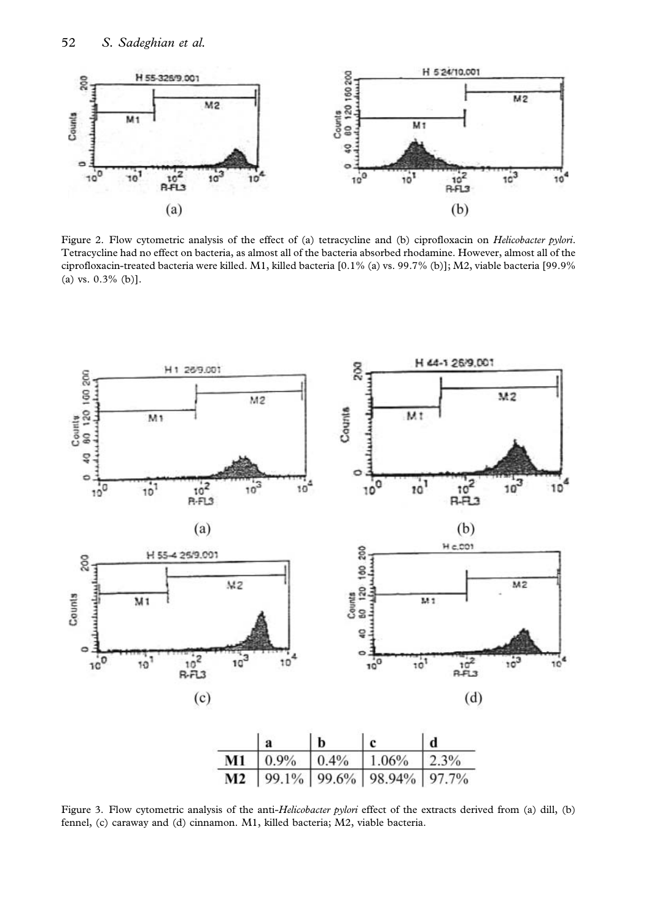

Figure 2. Flow cytometric analysis of the effect of (a) tetracycline and (b) ciprofloxacin on *Helicobacter pylori*. Tetracycline had no effect on bacteria, as almost all of the bacteria absorbed rhodamine. However, almost all of the ciprofloxacin-treated bacteria were killed. M1, killed bacteria [0.1% (a) vs. 99.7% (b)]; M2, viable bacteria [99.9% (a) vs. 0.3% (b)].



Figure 3. Flow cytometric analysis of the anti-Helicobacter pylori effect of the extracts derived from (a) dill, (b) fennel, (c) caraway and (d) cinnamon. M1, killed bacteria; M2, viable bacteria.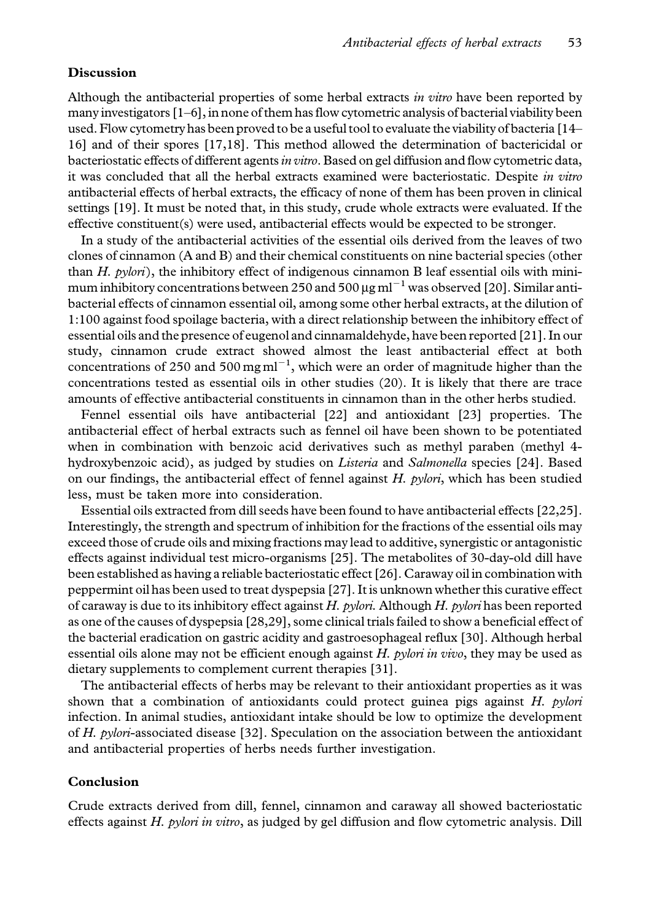#### Discussion

Although the antibacterial properties of some herbal extracts in vitro have been reported by many investigators [1–6], in none of them has flow cytometric analysis of bacterial viability been used. Flow cytometry has been proved to be a useful tool to evaluate the viability of bacteria [14– 16] and of their spores [17,18]. This method allowed the determination of bactericidal or bacteriostatic effects of different agents in vitro. Based on gel diffusion and flow cytometric data, it was concluded that all the herbal extracts examined were bacteriostatic. Despite in vitro antibacterial effects of herbal extracts, the efficacy of none of them has been proven in clinical settings [19]. It must be noted that, in this study, crude whole extracts were evaluated. If the effective constituent(s) were used, antibacterial effects would be expected to be stronger.

In a study of the antibacterial activities of the essential oils derived from the leaves of two clones of cinnamon (A and B) and their chemical constituents on nine bacterial species (other than H.  $p$ ylori), the inhibitory effect of indigenous cinnamon B leaf essential oils with minimum inhibitory concentrations between 250 and 500  $\mu$ g ml<sup>-1</sup> was observed [20]. Similar antibacterial effects of cinnamon essential oil, among some other herbal extracts, at the dilution of 1:100 against food spoilage bacteria, with a direct relationship between the inhibitory effect of essential oils and the presence of eugenol and cinnamaldehyde, have been reported [21]. In our study, cinnamon crude extract showed almost the least antibacterial effect at both concentrations of 250 and 500 mg  $ml^{-1}$ , which were an order of magnitude higher than the concentrations tested as essential oils in other studies (20). It is likely that there are trace amounts of effective antibacterial constituents in cinnamon than in the other herbs studied.

Fennel essential oils have antibacterial [22] and antioxidant [23] properties. The antibacterial effect of herbal extracts such as fennel oil have been shown to be potentiated when in combination with benzoic acid derivatives such as methyl paraben (methyl 4 hydroxybenzoic acid), as judged by studies on Listeria and Salmonella species [24]. Based on our findings, the antibacterial effect of fennel against  $H$ . pylori, which has been studied less, must be taken more into consideration.

Essential oils extracted from dill seeds have been found to have antibacterial effects [22,25]. Interestingly, the strength and spectrum of inhibition for the fractions of the essential oils may exceed those of crude oils and mixing fractions may lead to additive, synergistic or antagonistic effects against individual test micro-organisms [25]. The metabolites of 30-day-old dill have been established as having a reliable bacteriostatic effect [26]. Caraway oil in combination with peppermint oil has been used to treat dyspepsia [27]. It is unknown whether this curative effect of caraway is due to its inhibitory effect against H. pylori. Although H. pylori has been reported as one of the causes of dyspepsia [28,29], some clinical trials failed to show a beneficial effect of the bacterial eradication on gastric acidity and gastroesophageal reflux [30]. Although herbal essential oils alone may not be efficient enough against  $H$ . *pylori in vivo*, they may be used as dietary supplements to complement current therapies [31].

The antibacterial effects of herbs may be relevant to their antioxidant properties as it was shown that a combination of antioxidants could protect guinea pigs against H. pylori infection. In animal studies, antioxidant intake should be low to optimize the development of H. pylori-associated disease [32]. Speculation on the association between the antioxidant and antibacterial properties of herbs needs further investigation.

#### Conclusion

Crude extracts derived from dill, fennel, cinnamon and caraway all showed bacteriostatic effects against H. pylori in vitro, as judged by gel diffusion and flow cytometric analysis. Dill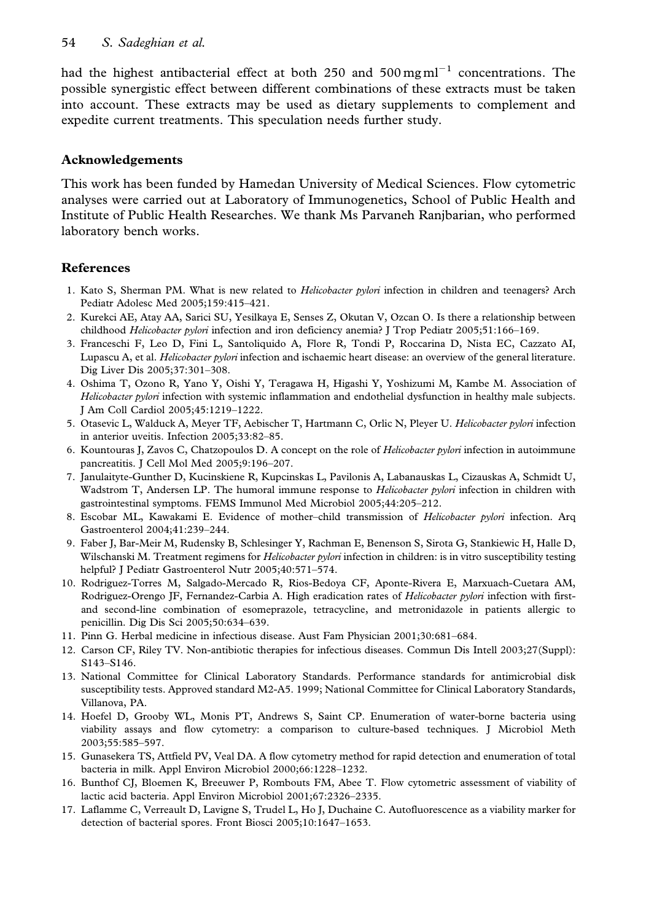had the highest antibacterial effect at both 250 and  $500 \,\text{mg}\,\text{m}^{-1}$  concentrations. The possible synergistic effect between different combinations of these extracts must be taken into account. These extracts may be used as dietary supplements to complement and expedite current treatments. This speculation needs further study.

## Acknowledgements

This work has been funded by Hamedan University of Medical Sciences. Flow cytometric analyses were carried out at Laboratory of Immunogenetics, School of Public Health and Institute of Public Health Researches. We thank Ms Parvaneh Ranjbarian, who performed laboratory bench works.

## References

- 1. Kato S, Sherman PM. What is new related to *Helicobacter pylori* infection in children and teenagers? Arch Pediatr Adolesc Med 2005;159:415–421.
- 2. Kurekci AE, Atay AA, Sarici SU, Yesilkaya E, Senses Z, Okutan V, Ozcan O. Is there a relationship between childhood Helicobacter pylori infection and iron deficiency anemia? J Trop Pediatr 2005;51:166-169.
- 3. Franceschi F, Leo D, Fini L, Santoliquido A, Flore R, Tondi P, Roccarina D, Nista EC, Cazzato AI, Lupascu A, et al. *Helicobacter pylori* infection and ischaemic heart disease: an overview of the general literature. Dig Liver Dis 2005;37:301–308.
- 4. Oshima T, Ozono R, Yano Y, Oishi Y, Teragawa H, Higashi Y, Yoshizumi M, Kambe M. Association of Helicobacter pylori infection with systemic inflammation and endothelial dysfunction in healthy male subjects. J Am Coll Cardiol 2005;45:1219–1222.
- 5. Otasevic L, Walduck A, Meyer TF, Aebischer T, Hartmann C, Orlic N, Pleyer U. Helicobacter pylori infection in anterior uveitis. Infection 2005;33:82–85.
- 6. Kountouras J, Zavos C, Chatzopoulos D. A concept on the role of Helicobacter pylori infection in autoimmune pancreatitis. J Cell Mol Med 2005;9:196–207.
- 7. Janulaityte-Gunther D, Kucinskiene R, Kupcinskas L, Pavilonis A, Labanauskas L, Cizauskas A, Schmidt U, Wadstrom T, Andersen LP. The humoral immune response to *Helicobacter pylori* infection in children with gastrointestinal symptoms. FEMS Immunol Med Microbiol 2005;44:205–212.
- 8. Escobar ML, Kawakami E. Evidence of mother-child transmission of Helicobacter pylori infection. Arq Gastroenterol 2004;41:239–244.
- 9. Faber J, Bar-Meir M, Rudensky B, Schlesinger Y, Rachman E, Benenson S, Sirota G, Stankiewic H, Halle D, Wilschanski M. Treatment regimens for *Helicobacter pylori* infection in children: is in vitro susceptibility testing helpful? J Pediatr Gastroenterol Nutr 2005;40:571–574.
- 10. Rodriguez-Torres M, Salgado-Mercado R, Rios-Bedoya CF, Aponte-Rivera E, Marxuach-Cuetara AM, Rodriguez-Orengo JF, Fernandez-Carbia A. High eradication rates of Helicobacter pylori infection with firstand second-line combination of esomeprazole, tetracycline, and metronidazole in patients allergic to penicillin. Dig Dis Sci 2005;50:634–639.
- 11. Pinn G. Herbal medicine in infectious disease. Aust Fam Physician 2001;30:681–684.
- 12. Carson CF, Riley TV. Non-antibiotic therapies for infectious diseases. Commun Dis Intell 2003;27(Suppl): S143–S146.
- 13. National Committee for Clinical Laboratory Standards. Performance standards for antimicrobial disk susceptibility tests. Approved standard M2-A5. 1999; National Committee for Clinical Laboratory Standards, Villanova, PA.
- 14. Hoefel D, Grooby WL, Monis PT, Andrews S, Saint CP. Enumeration of water-borne bacteria using viability assays and flow cytometry: a comparison to culture-based techniques. J Microbiol Meth 2003;55:585–597.
- 15. Gunasekera TS, Attfield PV, Veal DA. A flow cytometry method for rapid detection and enumeration of total bacteria in milk. Appl Environ Microbiol 2000;66:1228–1232.
- 16. Bunthof CJ, Bloemen K, Breeuwer P, Rombouts FM, Abee T. Flow cytometric assessment of viability of lactic acid bacteria. Appl Environ Microbiol 2001;67:2326–2335.
- 17. Laflamme C, Verreault D, Lavigne S, Trudel L, Ho J, Duchaine C. Autofluorescence as a viability marker for detection of bacterial spores. Front Biosci 2005;10:1647–1653.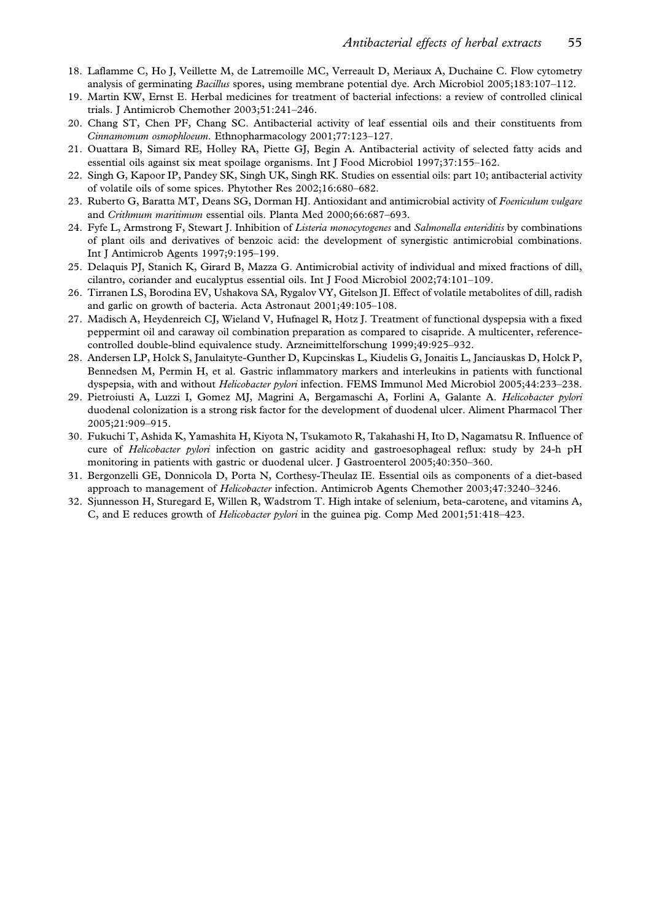- 18. Laflamme C, Ho J, Veillette M, de Latremoille MC, Verreault D, Meriaux A, Duchaine C. Flow cytometry analysis of germinating Bacillus spores, using membrane potential dye. Arch Microbiol 2005;183:107–112.
- 19. Martin KW, Ernst E. Herbal medicines for treatment of bacterial infections: a review of controlled clinical trials. J Antimicrob Chemother 2003;51:241–246.
- 20. Chang ST, Chen PF, Chang SC. Antibacterial activity of leaf essential oils and their constituents from Cinnamomum osmophloeum. Ethnopharmacology 2001;77:123–127.
- 21. Ouattara B, Simard RE, Holley RA, Piette GJ, Begin A. Antibacterial activity of selected fatty acids and essential oils against six meat spoilage organisms. Int J Food Microbiol 1997;37:155–162.
- 22. Singh G, Kapoor IP, Pandey SK, Singh UK, Singh RK. Studies on essential oils: part 10; antibacterial activity of volatile oils of some spices. Phytother Res 2002;16:680–682.
- 23. Ruberto G, Baratta MT, Deans SG, Dorman HJ. Antioxidant and antimicrobial activity of Foeniculum vulgare and Crithmum maritimum essential oils. Planta Med 2000;66:687–693.
- 24. Fyfe L, Armstrong F, Stewart J. Inhibition of Listeria monocytogenes and Salmonella enteriditis by combinations of plant oils and derivatives of benzoic acid: the development of synergistic antimicrobial combinations. Int J Antimicrob Agents 1997;9:195–199.
- 25. Delaquis PJ, Stanich K, Girard B, Mazza G. Antimicrobial activity of individual and mixed fractions of dill, cilantro, coriander and eucalyptus essential oils. Int J Food Microbiol 2002;74:101–109.
- 26. Tirranen LS, Borodina EV, Ushakova SA, Rygalov VY, Gitelson JI. Effect of volatile metabolites of dill, radish and garlic on growth of bacteria. Acta Astronaut 2001;49:105–108.
- 27. Madisch A, Heydenreich CJ, Wieland V, Hufnagel R, Hotz J. Treatment of functional dyspepsia with a fixed peppermint oil and caraway oil combination preparation as compared to cisapride. A multicenter, referencecontrolled double-blind equivalence study. Arzneimittelforschung 1999;49:925–932.
- 28. Andersen LP, Holck S, Janulaityte-Gunther D, Kupcinskas L, Kiudelis G, Jonaitis L, Janciauskas D, Holck P, Bennedsen M, Permin H, et al. Gastric inflammatory markers and interleukins in patients with functional dyspepsia, with and without Helicobacter pylori infection. FEMS Immunol Med Microbiol 2005;44:233–238.
- 29. Pietroiusti A, Luzzi I, Gomez MJ, Magrini A, Bergamaschi A, Forlini A, Galante A. Helicobacter pylori duodenal colonization is a strong risk factor for the development of duodenal ulcer. Aliment Pharmacol Ther 2005;21:909–915.
- 30. Fukuchi T, Ashida K, Yamashita H, Kiyota N, Tsukamoto R, Takahashi H, Ito D, Nagamatsu R. Influence of cure of Helicobacter pylori infection on gastric acidity and gastroesophageal reflux: study by 24-h pH monitoring in patients with gastric or duodenal ulcer. J Gastroenterol 2005;40:350–360.
- 31. Bergonzelli GE, Donnicola D, Porta N, Corthesy-Theulaz IE. Essential oils as components of a diet-based approach to management of Helicobacter infection. Antimicrob Agents Chemother 2003;47:3240–3246.
- 32. Sjunnesson H, Sturegard E, Willen R, Wadstrom T. High intake of selenium, beta-carotene, and vitamins A, C, and E reduces growth of Helicobacter pylori in the guinea pig. Comp Med 2001;51:418–423.